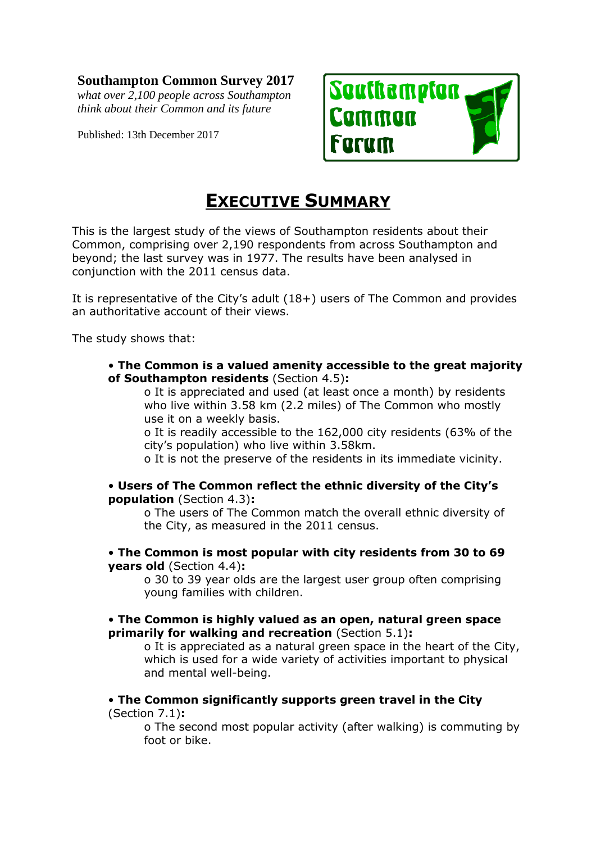# **Southampton Common Survey 2017**

*what over 2,100 people across Southampton think about their Common and its future*

Published: 13th December 2017



# **EXECUTIVE SUMMARY**

This is the largest study of the views of Southampton residents about their Common, comprising over 2,190 respondents from across Southampton and beyond; the last survey was in 1977. The results have been analysed in conjunction with the 2011 census data.

It is representative of the City's adult (18+) users of The Common and provides an authoritative account of their views.

The study shows that:

• **The Common is a valued amenity accessible to the great majority of Southampton residents** (Section 4.5)**:** 

o It is appreciated and used (at least once a month) by residents who live within 3.58 km (2.2 miles) of The Common who mostly use it on a weekly basis.

o It is readily accessible to the 162,000 city residents (63% of the city's population) who live within 3.58km.

o It is not the preserve of the residents in its immediate vicinity.

# • **Users of The Common reflect the ethnic diversity of the City's population** (Section 4.3)**:**

o The users of The Common match the overall ethnic diversity of the City, as measured in the 2011 census.

# • **The Common is most popular with city residents from 30 to 69 years old** (Section 4.4)**:**

o 30 to 39 year olds are the largest user group often comprising young families with children.

#### • **The Common is highly valued as an open, natural green space primarily for walking and recreation** (Section 5.1)**:**

o It is appreciated as a natural green space in the heart of the City, which is used for a wide variety of activities important to physical and mental well-being.

#### • **The Common significantly supports green travel in the City**  (Section 7.1)**:**

o The second most popular activity (after walking) is commuting by foot or bike.